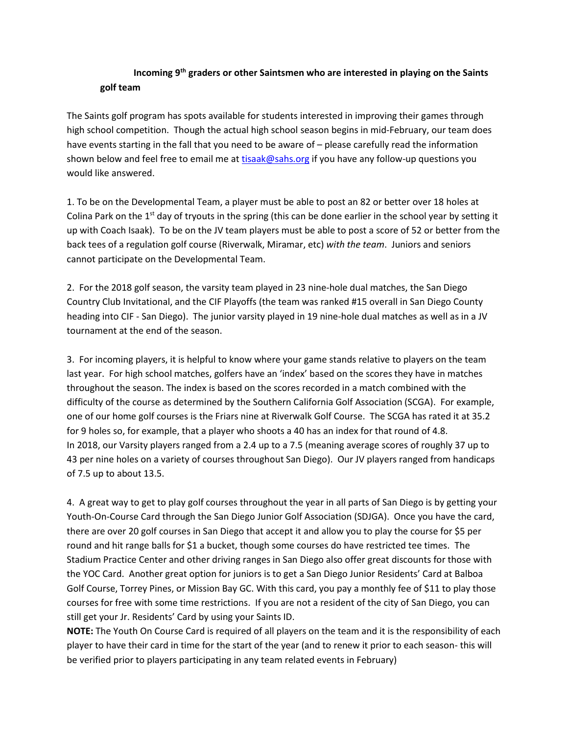## **Incoming 9th graders or other Saintsmen who are interested in playing on the Saints golf team**

The Saints golf program has spots available for students interested in improving their games through high school competition. Though the actual high school season begins in mid-February, our team does have events starting in the fall that you need to be aware of – please carefully read the information shown below and feel free to email me a[t tisaak@sahs.org](mailto:tisaak@sahs.org) if you have any follow-up questions you would like answered.

1. To be on the Developmental Team, a player must be able to post an 82 or better over 18 holes at Colina Park on the  $1<sup>st</sup>$  day of tryouts in the spring (this can be done earlier in the school year by setting it up with Coach Isaak). To be on the JV team players must be able to post a score of 52 or better from the back tees of a regulation golf course (Riverwalk, Miramar, etc) *with the team*. Juniors and seniors cannot participate on the Developmental Team.

2. For the 2018 golf season, the varsity team played in 23 nine-hole dual matches, the San Diego Country Club Invitational, and the CIF Playoffs (the team was ranked #15 overall in San Diego County heading into CIF - San Diego). The junior varsity played in 19 nine-hole dual matches as well as in a JV tournament at the end of the season.

3. For incoming players, it is helpful to know where your game stands relative to players on the team last year. For high school matches, golfers have an 'index' based on the scores they have in matches throughout the season. The index is based on the scores recorded in a match combined with the difficulty of the course as determined by the Southern California Golf Association (SCGA). For example, one of our home golf courses is the Friars nine at Riverwalk Golf Course. The SCGA has rated it at 35.2 for 9 holes so, for example, that a player who shoots a 40 has an index for that round of 4.8. In 2018, our Varsity players ranged from a 2.4 up to a 7.5 (meaning average scores of roughly 37 up to 43 per nine holes on a variety of courses throughout San Diego). Our JV players ranged from handicaps of 7.5 up to about 13.5.

4. A great way to get to play golf courses throughout the year in all parts of San Diego is by getting your Youth-On-Course Card through the San Diego Junior Golf Association (SDJGA). Once you have the card, there are over 20 golf courses in San Diego that accept it and allow you to play the course for \$5 per round and hit range balls for \$1 a bucket, though some courses do have restricted tee times. The Stadium Practice Center and other driving ranges in San Diego also offer great discounts for those with the YOC Card. Another great option for juniors is to get a San Diego Junior Residents' Card at Balboa Golf Course, Torrey Pines, or Mission Bay GC. With this card, you pay a monthly fee of \$11 to play those courses for free with some time restrictions. If you are not a resident of the city of San Diego, you can still get your Jr. Residents' Card by using your Saints ID.

**NOTE:** The Youth On Course Card is required of all players on the team and it is the responsibility of each player to have their card in time for the start of the year (and to renew it prior to each season- this will be verified prior to players participating in any team related events in February)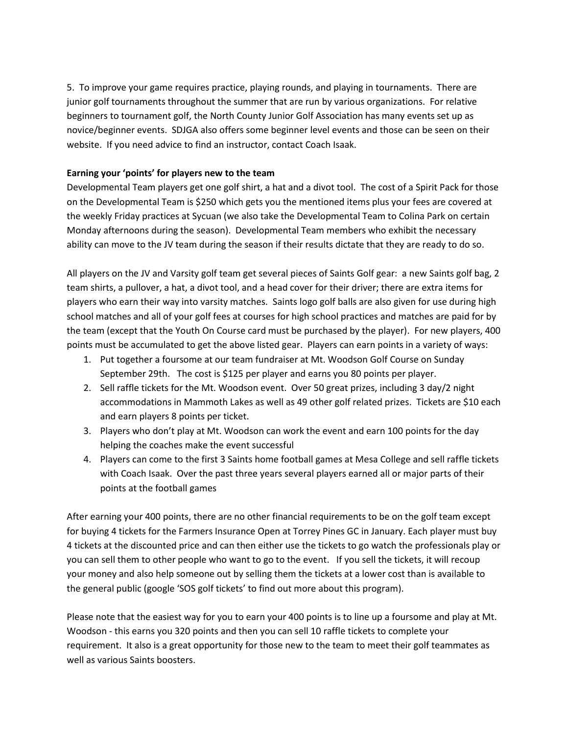5. To improve your game requires practice, playing rounds, and playing in tournaments. There are junior golf tournaments throughout the summer that are run by various organizations. For relative beginners to tournament golf, the North County Junior Golf Association has many events set up as novice/beginner events. SDJGA also offers some beginner level events and those can be seen on their website. If you need advice to find an instructor, contact Coach Isaak.

## **Earning your 'points' for players new to the team**

Developmental Team players get one golf shirt, a hat and a divot tool. The cost of a Spirit Pack for those on the Developmental Team is \$250 which gets you the mentioned items plus your fees are covered at the weekly Friday practices at Sycuan (we also take the Developmental Team to Colina Park on certain Monday afternoons during the season). Developmental Team members who exhibit the necessary ability can move to the JV team during the season if their results dictate that they are ready to do so.

All players on the JV and Varsity golf team get several pieces of Saints Golf gear: a new Saints golf bag, 2 team shirts, a pullover, a hat, a divot tool, and a head cover for their driver; there are extra items for players who earn their way into varsity matches. Saints logo golf balls are also given for use during high school matches and all of your golf fees at courses for high school practices and matches are paid for by the team (except that the Youth On Course card must be purchased by the player). For new players, 400 points must be accumulated to get the above listed gear. Players can earn points in a variety of ways:

- 1. Put together a foursome at our team fundraiser at Mt. Woodson Golf Course on Sunday September 29th. The cost is \$125 per player and earns you 80 points per player.
- 2. Sell raffle tickets for the Mt. Woodson event. Over 50 great prizes, including 3 day/2 night accommodations in Mammoth Lakes as well as 49 other golf related prizes. Tickets are \$10 each and earn players 8 points per ticket.
- 3. Players who don't play at Mt. Woodson can work the event and earn 100 points for the day helping the coaches make the event successful
- 4. Players can come to the first 3 Saints home football games at Mesa College and sell raffle tickets with Coach Isaak. Over the past three years several players earned all or major parts of their points at the football games

After earning your 400 points, there are no other financial requirements to be on the golf team except for buying 4 tickets for the Farmers Insurance Open at Torrey Pines GC in January. Each player must buy 4 tickets at the discounted price and can then either use the tickets to go watch the professionals play or you can sell them to other people who want to go to the event. If you sell the tickets, it will recoup your money and also help someone out by selling them the tickets at a lower cost than is available to the general public (google 'SOS golf tickets' to find out more about this program).

Please note that the easiest way for you to earn your 400 points is to line up a foursome and play at Mt. Woodson - this earns you 320 points and then you can sell 10 raffle tickets to complete your requirement. It also is a great opportunity for those new to the team to meet their golf teammates as well as various Saints boosters.